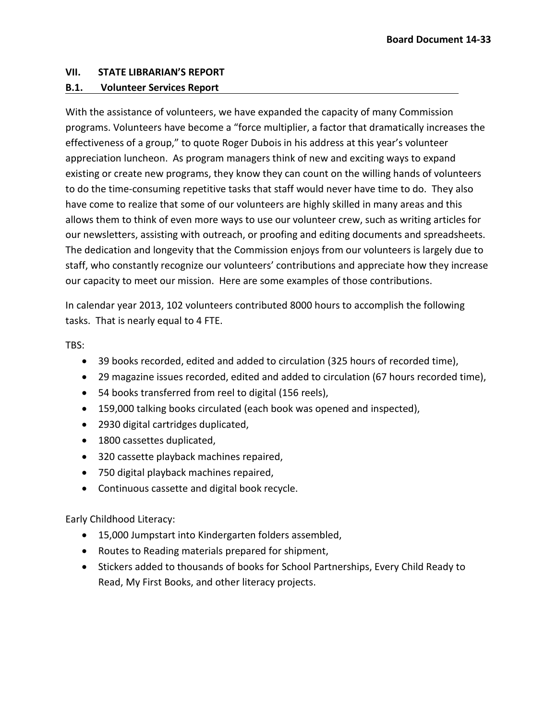## **VII. STATE LIBRARIAN'S REPORT**

## **B.1. Volunteer Services Report**

With the assistance of volunteers, we have expanded the capacity of many Commission programs. Volunteers have become a "force multiplier, a factor that dramatically increases the effectiveness of a group," to quote Roger Dubois in his address at this year's volunteer appreciation luncheon. As program managers think of new and exciting ways to expand existing or create new programs, they know they can count on the willing hands of volunteers to do the time-consuming repetitive tasks that staff would never have time to do. They also have come to realize that some of our volunteers are highly skilled in many areas and this allows them to think of even more ways to use our volunteer crew, such as writing articles for our newsletters, assisting with outreach, or proofing and editing documents and spreadsheets. The dedication and longevity that the Commission enjoys from our volunteers is largely due to staff, who constantly recognize our volunteers' contributions and appreciate how they increase our capacity to meet our mission. Here are some examples of those contributions.

In calendar year 2013, 102 volunteers contributed 8000 hours to accomplish the following tasks. That is nearly equal to 4 FTE.

TBS:

- 39 books recorded, edited and added to circulation (325 hours of recorded time),
- 29 magazine issues recorded, edited and added to circulation (67 hours recorded time),
- 54 books transferred from reel to digital (156 reels),
- 159,000 talking books circulated (each book was opened and inspected),
- 2930 digital cartridges duplicated,
- 1800 cassettes duplicated,
- 320 cassette playback machines repaired,
- 750 digital playback machines repaired,
- Continuous cassette and digital book recycle.

Early Childhood Literacy:

- 15,000 Jumpstart into Kindergarten folders assembled,
- Routes to Reading materials prepared for shipment,
- Stickers added to thousands of books for School Partnerships, Every Child Ready to Read, My First Books, and other literacy projects.